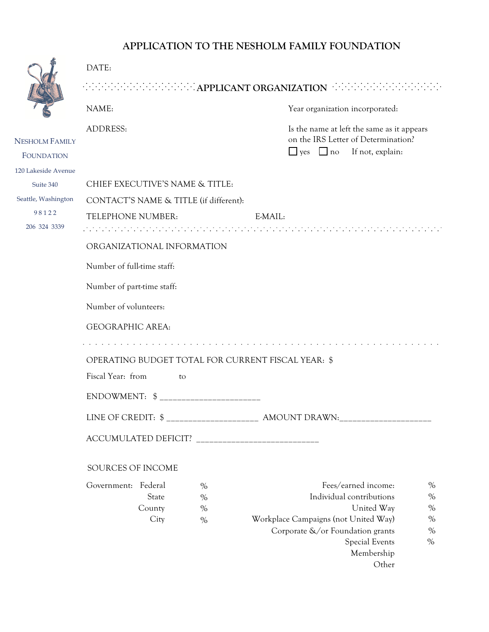## **APPLICATION TO THE NESHOLM FAMILY FOUNDATION**

|                                                         | DATE:                                                                     |                              |                                                                                                                                                                                  |                                              |  |  |  |  |
|---------------------------------------------------------|---------------------------------------------------------------------------|------------------------------|----------------------------------------------------------------------------------------------------------------------------------------------------------------------------------|----------------------------------------------|--|--|--|--|
|                                                         | <b>Executive Englishers: APPLICANT ORGANIZATION</b>                       |                              |                                                                                                                                                                                  |                                              |  |  |  |  |
|                                                         | NAME:                                                                     |                              | Year organization incorporated:                                                                                                                                                  |                                              |  |  |  |  |
| <b>NESHOLM FAMILY</b><br><b>FOUNDATION</b>              | <b>ADDRESS:</b>                                                           |                              | Is the name at left the same as it appears<br>on the IRS Letter of Determination?<br>If not, explain:<br>$\Box$ no<br>$\Box$ yes                                                 |                                              |  |  |  |  |
| 120 Lakeside Avenue<br>Suite 340<br>Seattle, Washington | CHIEF EXECUTIVE'S NAME & TITLE:<br>CONTACT'S NAME & TITLE (if different): |                              |                                                                                                                                                                                  |                                              |  |  |  |  |
| 98122<br>206 324 3339                                   | TELEPHONE NUMBER:<br>E-MAIL:                                              |                              |                                                                                                                                                                                  |                                              |  |  |  |  |
|                                                         | ORGANIZATIONAL INFORMATION                                                |                              |                                                                                                                                                                                  |                                              |  |  |  |  |
|                                                         | Number of full-time staff:                                                |                              |                                                                                                                                                                                  |                                              |  |  |  |  |
|                                                         | Number of part-time staff:                                                |                              |                                                                                                                                                                                  |                                              |  |  |  |  |
|                                                         | Number of volunteers:                                                     |                              |                                                                                                                                                                                  |                                              |  |  |  |  |
|                                                         | <b>GEOGRAPHIC AREA:</b>                                                   |                              |                                                                                                                                                                                  |                                              |  |  |  |  |
|                                                         |                                                                           |                              |                                                                                                                                                                                  |                                              |  |  |  |  |
|                                                         | OPERATING BUDGET TOTAL FOR CURRENT FISCAL YEAR: \$                        |                              |                                                                                                                                                                                  |                                              |  |  |  |  |
|                                                         | Fiscal Year: from<br>to                                                   |                              |                                                                                                                                                                                  |                                              |  |  |  |  |
|                                                         |                                                                           |                              |                                                                                                                                                                                  |                                              |  |  |  |  |
|                                                         |                                                                           |                              | LINE OF CREDIT: \$ ______________________ AMOUNT DRAWN:__________________________                                                                                                |                                              |  |  |  |  |
|                                                         |                                                                           |                              |                                                                                                                                                                                  |                                              |  |  |  |  |
|                                                         | SOURCES OF INCOME                                                         |                              |                                                                                                                                                                                  |                                              |  |  |  |  |
|                                                         | Government: Federal<br>State<br>County<br>City                            | $\%$<br>$\%$<br>$\%$<br>$\%$ | Fees/earned income:<br>Individual contributions<br>United Way<br>Workplace Campaigns (not United Way)<br>Corporate &/or Foundation grants<br><b>Special Events</b><br>Membership | $\%$<br>$\%$<br>$\%$<br>$\%$<br>$\%$<br>$\%$ |  |  |  |  |
|                                                         |                                                                           |                              | Other                                                                                                                                                                            |                                              |  |  |  |  |